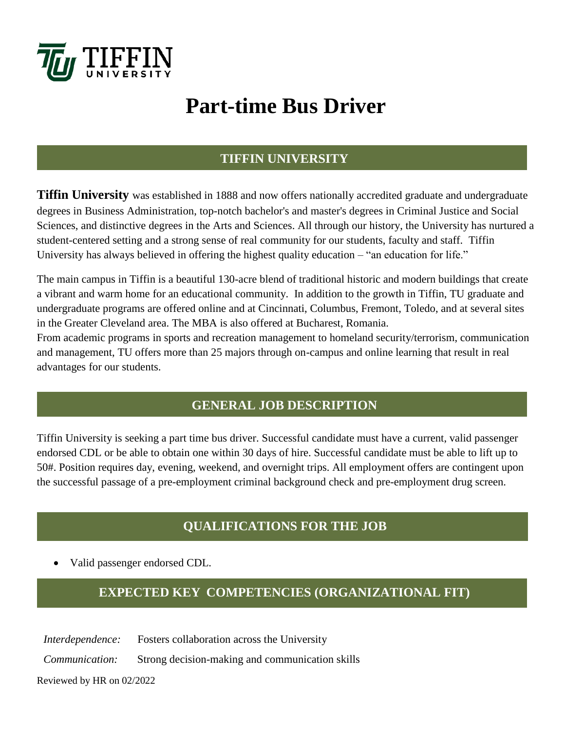

# **Part-time Bus Driver**

### **TIFFIN UNIVERSITY**

**Tiffin University** was established in 1888 and now offers nationally accredited graduate and undergraduate degrees in Business Administration, top-notch bachelor's and master's degrees in Criminal Justice and Social Sciences, and distinctive degrees in the Arts and Sciences. All through our history, the University has nurtured a student-centered setting and a strong sense of real community for our students, faculty and staff. Tiffin University has always believed in offering the highest quality education – "an education for life."

The main campus in Tiffin is a beautiful 130-acre blend of traditional historic and modern buildings that create a vibrant and warm home for an educational community. In addition to the growth in Tiffin, TU graduate and undergraduate programs are offered online and at Cincinnati, Columbus, Fremont, Toledo, and at several sites in the Greater Cleveland area. The MBA is also offered at Bucharest, Romania.

From academic programs in sports and recreation management to homeland security/terrorism, communication and management, TU offers more than 25 majors through on-campus and online learning that result in real advantages for our students.

## **GENERAL JOB DESCRIPTION**

Tiffin University is seeking a part time bus driver. Successful candidate must have a current, valid passenger endorsed CDL or be able to obtain one within 30 days of hire. Successful candidate must be able to lift up to 50#. Position requires day, evening, weekend, and overnight trips. All employment offers are contingent upon the successful passage of a pre-employment criminal background check and pre-employment drug screen.

## **QUALIFICATIONS FOR THE JOB**

• Valid passenger endorsed CDL.

## **EXPECTED KEY COMPETENCIES (ORGANIZATIONAL FIT)**

*Interdependence:* Fosters collaboration across the University

*Communication:* Strong decision-making and communication skills

Reviewed by HR on 02/2022